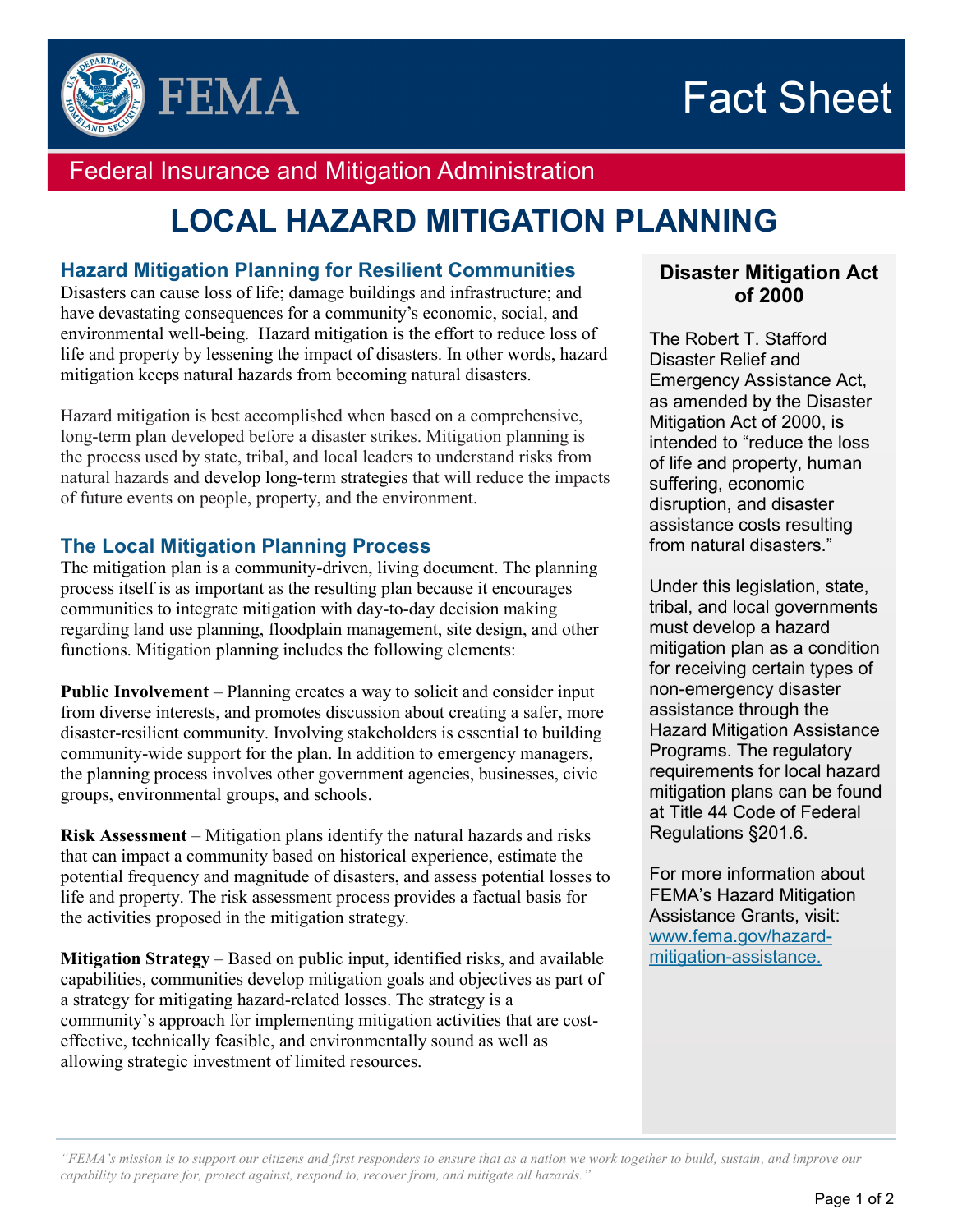



# Federal Insurance and Mitigation Administration

# **LOCAL HAZARD MITIGATION PLANNING**

#### **Hazard Mitigation Planning for Resilient Communities**

Disasters can cause loss of life; damage buildings and infrastructure; and have devastating consequences for a community's economic, social, and environmental well-being. Hazard mitigation is the effort to reduce loss of life and property by lessening the impact of disasters. In other words, hazard mitigation keeps natural hazards from becoming natural disasters.

Hazard mitigation is best accomplished when based on a comprehensive, long-term plan developed before a disaster strikes. Mitigation planning is the process used by state, tribal, and local leaders to understand risks from natural hazards and develop long-term strategies that will reduce the impacts of future events on people, property, and the environment.

#### **The Local Mitigation Planning Process**

The mitigation plan is a community-driven, living document. The planning process itself is as important as the resulting plan because it encourages communities to integrate mitigation with day-to-day decision making regarding land use planning, floodplain management, site design, and other functions. Mitigation planning includes the following elements:

**Public Involvement** – Planning creates a way to solicit and consider input from diverse interests, and promotes discussion about creating a safer, more disaster-resilient community. Involving stakeholders is essential to building community-wide support for the plan. In addition to emergency managers, the planning process involves other government agencies, businesses, civic groups, environmental groups, and schools.

**Risk Assessment** – Mitigation plans identify the natural hazards and risks that can impact a community based on historical experience, estimate the potential frequency and magnitude of disasters, and assess potential losses to life and property. The risk assessment process provides a factual basis for the activities proposed in the mitigation strategy.

**Mitigation Strategy** – Based on public input, identified risks, and available capabilities, communities develop mitigation goals and objectives as part of a strategy for mitigating hazard-related losses. The strategy is a community's approach for implementing mitigation activities that are costeffective, technically feasible, and environmentally sound as well as allowing strategic investment of limited resources.

#### **Disaster Mitigation Act of 2000**

The Robert T. Stafford Disaster Relief and Emergency Assistance Act, as amended by the Disaster Mitigation Act of 2000, is intended to "reduce the loss of life and property, human suffering, economic disruption, and disaster assistance costs resulting from natural disasters."

Under this legislation, state, tribal, and local governments must develop a hazard mitigation plan as a condition for receiving certain types of non-emergency disaster assistance through the Hazard Mitigation Assistance Programs. The regulatory requirements for local hazard mitigation plans can be found at Title 44 Code of Federal Regulations §201.6.

For more information about FEMA's Hazard Mitigation Assistance Grants, visit: [www.fema.gov/hazard](http://www.fema.gov/hazard-mitigation-assistance)mitigation-assistance.

*"FEMA's mission is to support our citizens and first responders to ensure that as a nation we work together to build, sustain, and improve our capability to prepare for, protect against, respond to, recover from, and mitigate all hazards."*